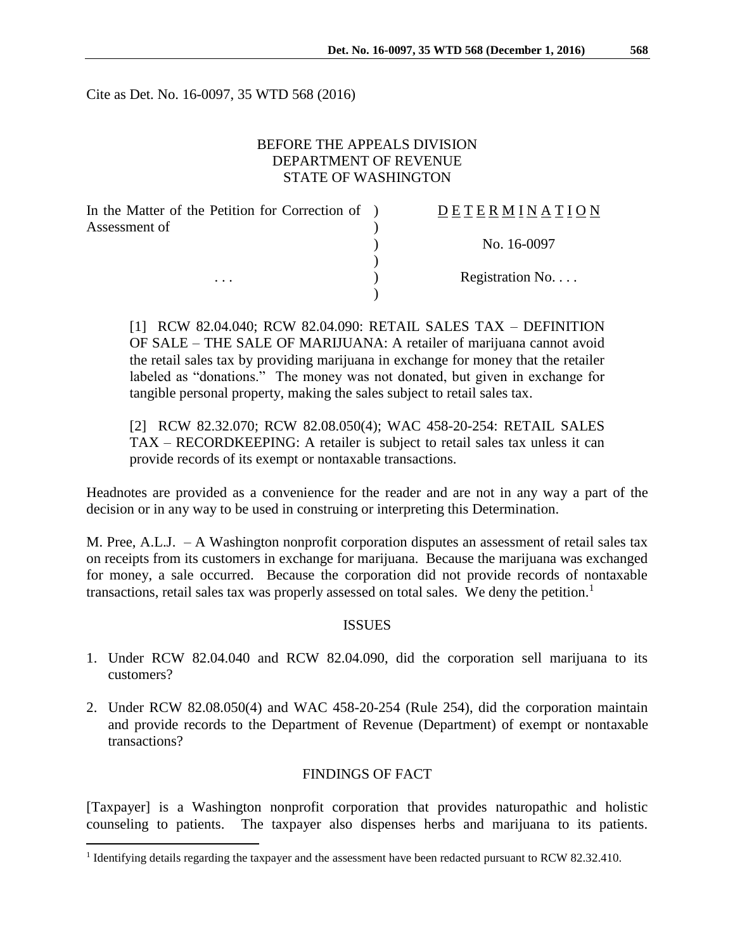Cite as Det. No. 16-0097, 35 WTD 568 (2016)

## BEFORE THE APPEALS DIVISION DEPARTMENT OF REVENUE STATE OF WASHINGTON

| In the Matter of the Petition for Correction of ) | <b>DETERMINATION</b> |
|---------------------------------------------------|----------------------|
| Assessment of                                     |                      |
| $\cdots$                                          | No. 16-0097          |
|                                                   |                      |
|                                                   | Registration No      |
|                                                   |                      |

[1] RCW 82.04.040; RCW 82.04.090: RETAIL SALES TAX – DEFINITION OF SALE – THE SALE OF MARIJUANA: A retailer of marijuana cannot avoid the retail sales tax by providing marijuana in exchange for money that the retailer labeled as "donations." The money was not donated, but given in exchange for tangible personal property, making the sales subject to retail sales tax.

[2] RCW 82.32.070; RCW 82.08.050(4); WAC 458-20-254: RETAIL SALES TAX – RECORDKEEPING: A retailer is subject to retail sales tax unless it can provide records of its exempt or nontaxable transactions.

Headnotes are provided as a convenience for the reader and are not in any way a part of the decision or in any way to be used in construing or interpreting this Determination.

M. Pree, A.L.J. – A Washington nonprofit corporation disputes an assessment of retail sales tax on receipts from its customers in exchange for marijuana. Because the marijuana was exchanged for money, a sale occurred. Because the corporation did not provide records of nontaxable transactions, retail sales tax was properly assessed on total sales. We deny the petition.<sup>1</sup>

### **ISSUES**

- 1. Under RCW 82.04.040 and RCW 82.04.090, did the corporation sell marijuana to its customers?
- 2. Under RCW 82.08.050(4) and WAC 458-20-254 (Rule 254), did the corporation maintain and provide records to the Department of Revenue (Department) of exempt or nontaxable transactions?

### FINDINGS OF FACT

[Taxpayer] is a Washington nonprofit corporation that provides naturopathic and holistic counseling to patients. The taxpayer also dispenses herbs and marijuana to its patients.

 $\overline{a}$ 

<sup>&</sup>lt;sup>1</sup> Identifying details regarding the taxpayer and the assessment have been redacted pursuant to RCW 82.32.410.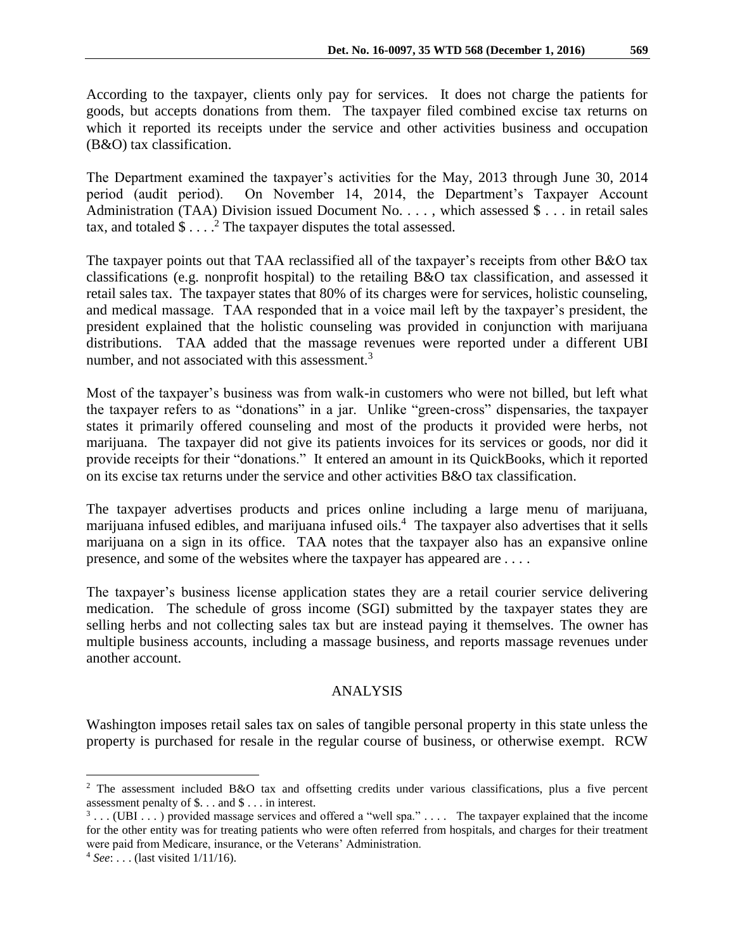According to the taxpayer, clients only pay for services. It does not charge the patients for goods, but accepts donations from them. The taxpayer filed combined excise tax returns on which it reported its receipts under the service and other activities business and occupation (B&O) tax classification.

The Department examined the taxpayer's activities for the May, 2013 through June 30, 2014 period (audit period). On November 14, 2014, the Department's Taxpayer Account Administration (TAA) Division issued Document No. [.](http://dorappsprod/ACMS/TarisDetail.aspx?id=201506919) . . , which assessed \$ . . . in retail sales tax, and totaled  $\$\dots$ <sup>2</sup> The taxpayer disputes the total assessed.

The taxpayer points out that TAA reclassified all of the taxpayer's receipts from other B&O tax classifications (e.g. nonprofit hospital) to the retailing B&O tax classification, and assessed it retail sales tax. The taxpayer states that 80% of its charges were for services, holistic counseling, and medical massage. TAA responded that in a voice mail left by the taxpayer's president, the president explained that the holistic counseling was provided in conjunction with marijuana distributions. TAA added that the massage revenues were reported under a different UBI number, and not associated with this assessment. $3$ 

Most of the taxpayer's business was from walk-in customers who were not billed, but left what the taxpayer refers to as "donations" in a jar. Unlike "green-cross" dispensaries, the taxpayer states it primarily offered counseling and most of the products it provided were herbs, not marijuana. The taxpayer did not give its patients invoices for its services or goods, nor did it provide receipts for their "donations." It entered an amount in its QuickBooks, which it reported on its excise tax returns under the service and other activities B&O tax classification.

The taxpayer advertises products and prices online including a large menu of marijuana, marijuana infused edibles, and marijuana infused oils.<sup>4</sup> The taxpayer also advertises that it sells marijuana on a sign in its office. TAA notes that the taxpayer also has an expansive online presence, and some of the websites where the taxpayer has appeared are *. . .* .

The taxpayer's business license application states they are a retail courier service delivering medication. The schedule of gross income (SGI) submitted by the taxpayer states they are selling herbs and not collecting sales tax but are instead paying it themselves. The owner has multiple business accounts, including a massage business, and reports massage revenues under another account.

# ANALYSIS

Washington imposes retail sales tax on sales of tangible personal property in this state unless the property is purchased for resale in the regular course of business, or otherwise exempt. RCW

 $\overline{a}$ 

<sup>2</sup> The assessment included B&O tax and offsetting credits under various classifications, plus a five percent assessment penalty of \$. . . and \$ . . . in interest.

 $3 \ldots$  (UBI  $\ldots$  ) provided massage services and offered a "well spa."  $\ldots$  The taxpayer explained that the income for the other entity was for treating patients who were often referred from hospitals, and charges for their treatment were paid from Medicare, insurance, or the Veterans' Administration.

<sup>4</sup> *See*: . . . (last visited 1/11/16).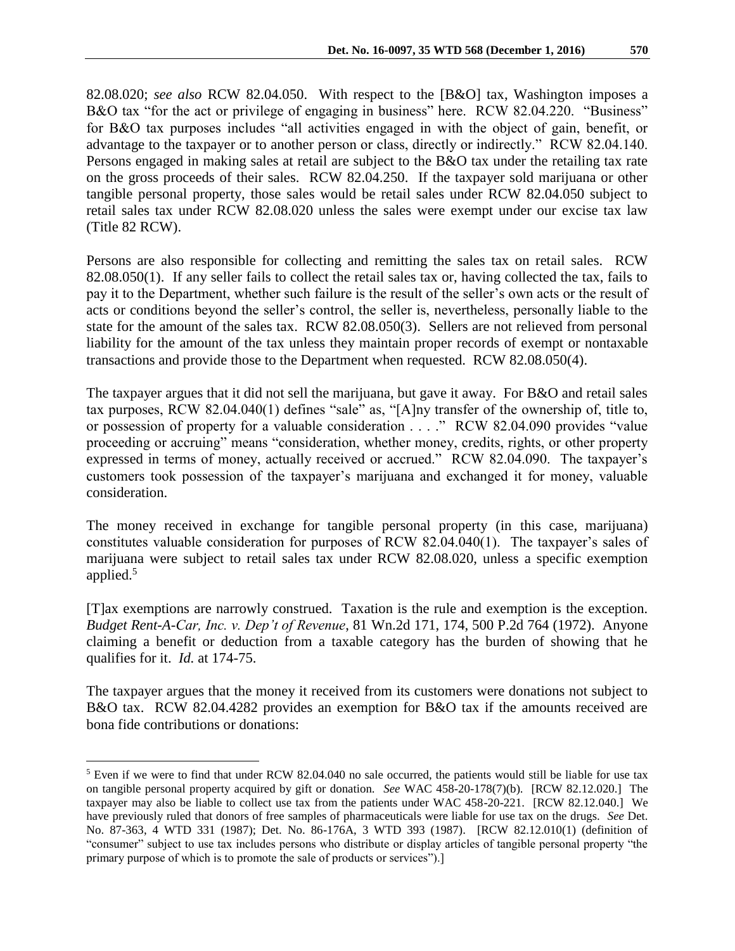82.08.020; *see also* RCW 82.04.050. With respect to the [B&O] tax, Washington imposes a B&O tax "for the act or privilege of engaging in business" here. RCW 82.04.220. "Business" for B&O tax purposes includes "all activities engaged in with the object of gain, benefit, or advantage to the taxpayer or to another person or class, directly or indirectly." RCW 82.04.140. Persons engaged in making sales at retail are subject to the B&O tax under the retailing tax rate on the gross proceeds of their sales. RCW 82.04.250. If the taxpayer sold marijuana or other tangible personal property, those sales would be retail sales under RCW 82.04.050 subject to retail sales tax under RCW 82.08.020 unless the sales were exempt under our excise tax law (Title 82 RCW).

Persons are also responsible for collecting and remitting the sales tax on retail sales. RCW 82.08.050(1). If any seller fails to collect the retail sales tax or, having collected the tax, fails to pay it to the Department, whether such failure is the result of the seller's own acts or the result of acts or conditions beyond the seller's control, the seller is, nevertheless, personally liable to the state for the amount of the sales tax. RCW 82.08.050(3). Sellers are not relieved from personal liability for the amount of the tax unless they maintain proper records of exempt or nontaxable transactions and provide those to the Department when requested. RCW 82.08.050(4).

The taxpayer argues that it did not sell the marijuana, but gave it away. For B&O and retail sales tax purposes, RCW 82.04.040(1) defines "sale" as, "[A]ny transfer of the ownership of, title to, or possession of property for a valuable consideration . . . ." RCW 82.04.090 provides "value proceeding or accruing" means "consideration, whether money, credits, rights, or other property expressed in terms of money, actually received or accrued." RCW 82.04.090. The taxpayer's customers took possession of the taxpayer's marijuana and exchanged it for money, valuable consideration.

The money received in exchange for tangible personal property (in this case, marijuana) constitutes valuable consideration for purposes of RCW 82.04.040(1). The taxpayer's sales of marijuana were subject to retail sales tax under RCW 82.08.020, unless a specific exemption applied.<sup>5</sup>

[T]ax exemptions are narrowly construed. Taxation is the rule and exemption is the exception. *Budget Rent-A-Car, Inc. v. Dep't of Revenue*, 81 Wn.2d 171, 174, 500 P.2d 764 (1972). Anyone claiming a benefit or deduction from a taxable category has the burden of showing that he qualifies for it. *Id.* at 174-75.

The taxpayer argues that the money it received from its customers were donations not subject to B&O tax. RCW 82.04.4282 provides an exemption for B&O tax if the amounts received are bona fide contributions or donations:

 $\overline{a}$ 

<sup>&</sup>lt;sup>5</sup> Even if we were to find that under RCW 82.04.040 no sale occurred, the patients would still be liable for use tax on tangible personal property acquired by gift or donation. *See* WAC 458-20-178(7)(b). [RCW 82.12.020.] The taxpayer may also be liable to collect use tax from the patients under WAC 458-20-221. [RCW 82.12.040.] We have previously ruled that donors of free samples of pharmaceuticals were liable for use tax on the drugs. *See* Det. No. 87-363, 4 WTD 331 (1987); Det. No. 86-176A, 3 WTD 393 (1987). [RCW 82.12.010(1) (definition of "consumer" subject to use tax includes persons who distribute or display articles of tangible personal property "the primary purpose of which is to promote the sale of products or services").]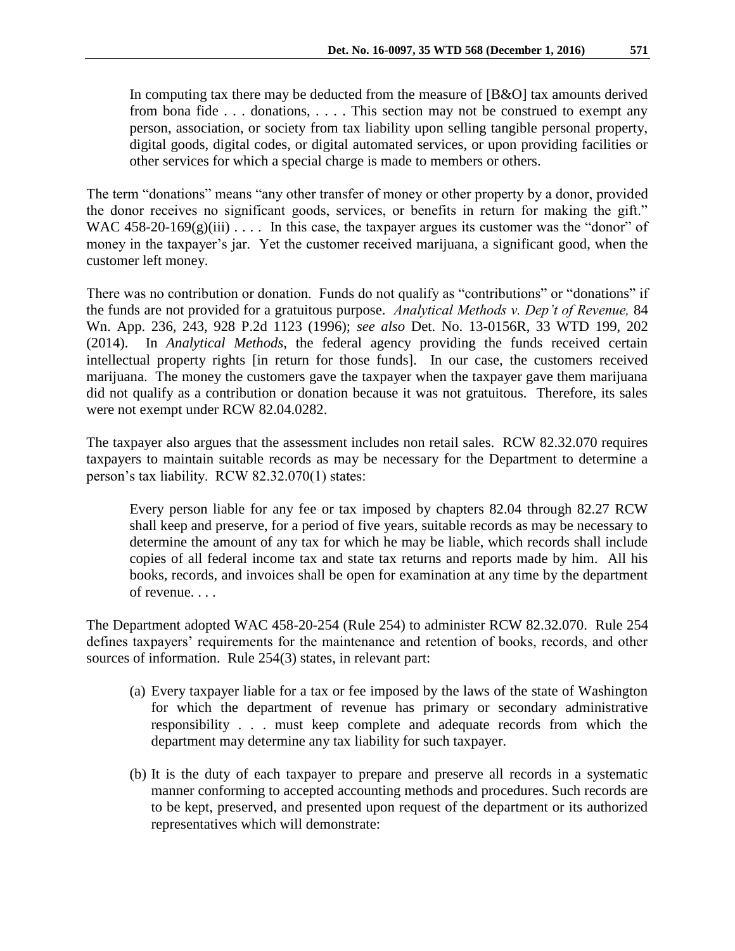In computing tax there may be deducted from the measure of [B&O] tax amounts derived from bona fide . . . donations, . . . . This section may not be construed to exempt any person, association, or society from tax liability upon selling tangible personal property, digital goods, digital codes, or digital automated services, or upon providing facilities or other services for which a special charge is made to members or others.

The term "donations" means "any other transfer of money or other property by a donor, provided the donor receives no significant goods, services, or benefits in return for making the gift." WAC 458-20-169 $(g)(iii)$ .... In this case, the taxpayer argues its customer was the "donor" of money in the taxpayer's jar. Yet the customer received marijuana, a significant good, when the customer left money.

There was no contribution or donation. Funds do not qualify as "contributions" or "donations" if the funds are not provided for a gratuitous purpose. *Analytical Methods v. Dep't of Revenue,* 84 Wn. App. 236, 243, 928 P.2d 1123 (1996); *see also* Det. No. 13-0156R, 33 WTD 199, 202 (2014). In *Analytical Methods,* the federal agency providing the funds received certain intellectual property rights [in return for those funds]. In our case, the customers received marijuana. The money the customers gave the taxpayer when the taxpayer gave them marijuana did not qualify as a contribution or donation because it was not gratuitous. Therefore, its sales were not exempt under RCW 82.04.0282.

The taxpayer also argues that the assessment includes non retail sales. RCW 82.32.070 requires taxpayers to maintain suitable records as may be necessary for the Department to determine a person's tax liability. RCW 82.32.070(1) states:

Every person liable for any fee or tax imposed by chapters 82.04 through 82.27 RCW shall keep and preserve, for a period of five years, suitable records as may be necessary to determine the amount of any tax for which he may be liable, which records shall include copies of all federal income tax and state tax returns and reports made by him. All his books, records, and invoices shall be open for examination at any time by the department of revenue. . . .

The Department adopted WAC 458-20-254 (Rule 254) to administer RCW 82.32.070. Rule 254 defines taxpayers' requirements for the maintenance and retention of books, records, and other sources of information. Rule 254(3) states, in relevant part:

- (a) Every taxpayer liable for a tax or fee imposed by the laws of the state of Washington for which the department of revenue has primary or secondary administrative responsibility . . . must keep complete and adequate records from which the department may determine any tax liability for such taxpayer.
- (b) It is the duty of each taxpayer to prepare and preserve all records in a systematic manner conforming to accepted accounting methods and procedures. Such records are to be kept, preserved, and presented upon request of the department or its authorized representatives which will demonstrate: